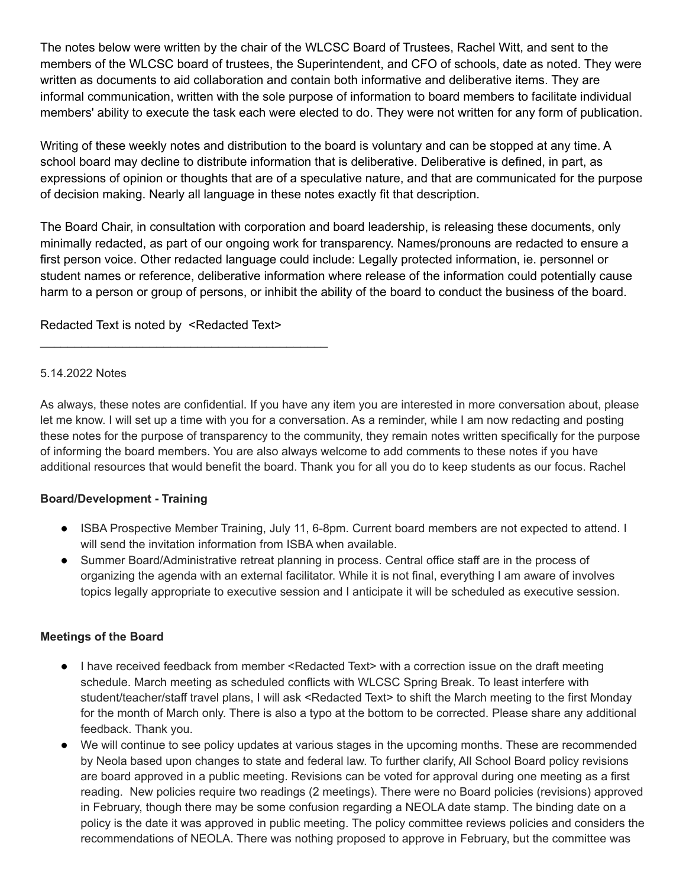The notes below were written by the chair of the WLCSC Board of Trustees, Rachel Witt, and sent to the members of the WLCSC board of trustees, the Superintendent, and CFO of schools, date as noted. They were written as documents to aid collaboration and contain both informative and deliberative items. They are informal communication, written with the sole purpose of information to board members to facilitate individual members' ability to execute the task each were elected to do. They were not written for any form of publication.

Writing of these weekly notes and distribution to the board is voluntary and can be stopped at any time. A school board may decline to distribute information that is deliberative. Deliberative is defined, in part, as expressions of opinion or thoughts that are of a speculative nature, and that are communicated for the purpose of decision making. Nearly all language in these notes exactly fit that description.

The Board Chair, in consultation with corporation and board leadership, is releasing these documents, only minimally redacted, as part of our ongoing work for transparency. Names/pronouns are redacted to ensure a first person voice. Other redacted language could include: Legally protected information, ie. personnel or student names or reference, deliberative information where release of the information could potentially cause harm to a person or group of persons, or inhibit the ability of the board to conduct the business of the board.

# Redacted Text is noted by <Redacted Text>

\_\_\_\_\_\_\_\_\_\_\_\_\_\_\_\_\_\_\_\_\_\_\_\_\_\_\_\_\_\_\_\_\_\_\_\_\_\_\_\_\_\_

#### 5.14.2022 Notes

As always, these notes are confidential. If you have any item you are interested in more conversation about, please let me know. I will set up a time with you for a conversation. As a reminder, while I am now redacting and posting these notes for the purpose of transparency to the community, they remain notes written specifically for the purpose of informing the board members. You are also always welcome to add comments to these notes if you have additional resources that would benefit the board. Thank you for all you do to keep students as our focus. Rachel

### **Board/Development - Training**

- ISBA Prospective Member Training, July 11, 6-8pm. Current board members are not expected to attend. I will send the invitation information from ISBA when available.
- Summer Board/Administrative retreat planning in process. Central office staff are in the process of organizing the agenda with an external facilitator. While it is not final, everything I am aware of involves topics legally appropriate to executive session and I anticipate it will be scheduled as executive session.

### **Meetings of the Board**

- I have received feedback from member <Redacted Text> with a correction issue on the draft meeting schedule. March meeting as scheduled conflicts with WLCSC Spring Break. To least interfere with student/teacher/staff travel plans, I will ask <Redacted Text> to shift the March meeting to the first Monday for the month of March only. There is also a typo at the bottom to be corrected. Please share any additional feedback. Thank you.
- We will continue to see policy updates at various stages in the upcoming months. These are recommended by Neola based upon changes to state and federal law. To further clarify, All School Board policy revisions are board approved in a public meeting. Revisions can be voted for approval during one meeting as a first reading. New policies require two readings (2 meetings). There were no Board policies (revisions) approved in February, though there may be some confusion regarding a NEOLA date stamp. The binding date on a policy is the date it was approved in public meeting. The policy committee reviews policies and considers the recommendations of NEOLA. There was nothing proposed to approve in February, but the committee was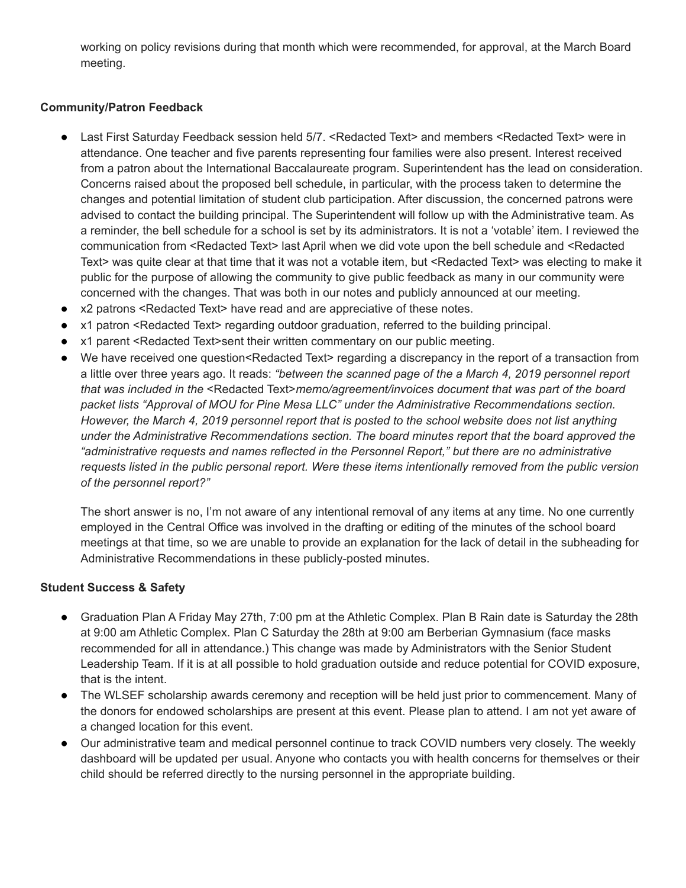working on policy revisions during that month which were recommended, for approval, at the March Board meeting.

# **Community/Patron Feedback**

- Last First Saturday Feedback session held 5/7. <Redacted Text> and members <Redacted Text> were in attendance. One teacher and five parents representing four families were also present. Interest received from a patron about the International Baccalaureate program. Superintendent has the lead on consideration. Concerns raised about the proposed bell schedule, in particular, with the process taken to determine the changes and potential limitation of student club participation. After discussion, the concerned patrons were advised to contact the building principal. The Superintendent will follow up with the Administrative team. As a reminder, the bell schedule for a school is set by its administrators. It is not a 'votable' item. I reviewed the communication from <Redacted Text> last April when we did vote upon the bell schedule and <Redacted Text> was quite clear at that time that it was not a votable item, but <Redacted Text> was electing to make it public for the purpose of allowing the community to give public feedback as many in our community were concerned with the changes. That was both in our notes and publicly announced at our meeting.
- x2 patrons <Redacted Text> have read and are appreciative of these notes.
- x1 patron <Redacted Text> regarding outdoor graduation, referred to the building principal.
- x1 parent <Redacted Text>sent their written commentary on our public meeting.
- We have received one question<Redacted Text> regarding a discrepancy in the report of a transaction from a little over three years ago. It reads: *"between the scanned page of the a March 4, 2019 personnel report that was included in the* <Redacted Text>*memo/agreement/invoices document that was part of the board packet lists "Approval of MOU for Pine Mesa LLC" under the Administrative Recommendations section. However, the March 4, 2019 personnel report that is posted to the school website does not list anything under the Administrative Recommendations section. The board minutes report that the board approved the "administrative requests and names reflected in the Personnel Report," but there are no administrative requests listed in the public personal report. Were these items intentionally removed from the public version of the personnel report?"*

The short answer is no, I'm not aware of any intentional removal of any items at any time. No one currently employed in the Central Office was involved in the drafting or editing of the minutes of the school board meetings at that time, so we are unable to provide an explanation for the lack of detail in the subheading for Administrative Recommendations in these publicly-posted minutes.

### **Student Success & Safety**

- Graduation Plan A Friday May 27th, 7:00 pm at the Athletic Complex. Plan B Rain date is Saturday the 28th at 9:00 am Athletic Complex. Plan C Saturday the 28th at 9:00 am Berberian Gymnasium (face masks recommended for all in attendance.) This change was made by Administrators with the Senior Student Leadership Team. If it is at all possible to hold graduation outside and reduce potential for COVID exposure, that is the intent.
- The WLSEF scholarship awards ceremony and reception will be held just prior to commencement. Many of the donors for endowed scholarships are present at this event. Please plan to attend. I am not yet aware of a changed location for this event.
- Our administrative team and medical personnel continue to track COVID numbers very closely. The weekly dashboard will be updated per usual. Anyone who contacts you with health concerns for themselves or their child should be referred directly to the nursing personnel in the appropriate building.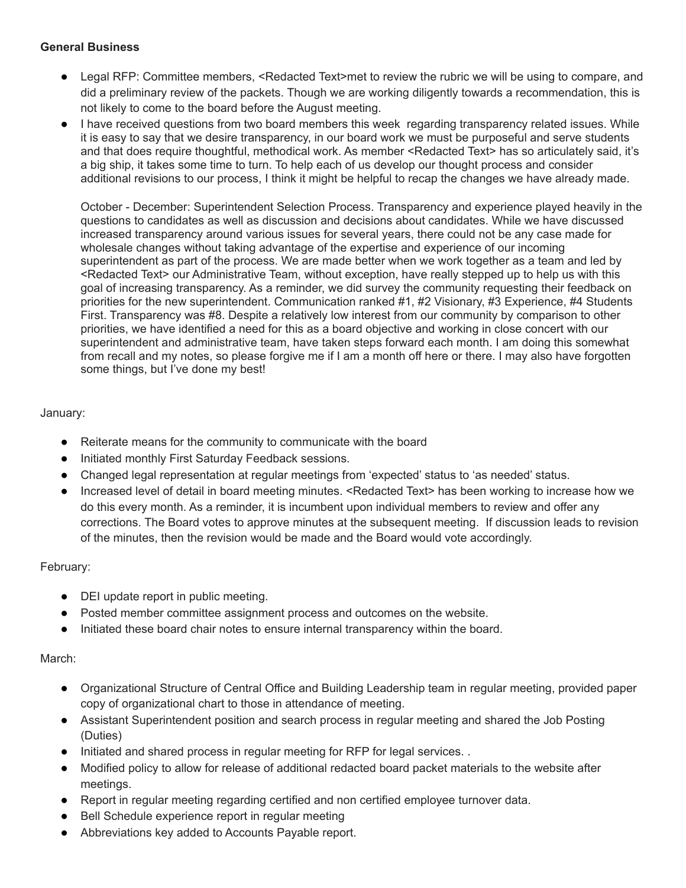### **General Business**

- Legal RFP: Committee members, <Redacted Text>met to review the rubric we will be using to compare, and did a preliminary review of the packets. Though we are working diligently towards a recommendation, this is not likely to come to the board before the August meeting.
- I have received questions from two board members this week regarding transparency related issues. While it is easy to say that we desire transparency, in our board work we must be purposeful and serve students and that does require thoughtful, methodical work. As member <Redacted Text> has so articulately said, it's a big ship, it takes some time to turn. To help each of us develop our thought process and consider additional revisions to our process, I think it might be helpful to recap the changes we have already made.

October - December: Superintendent Selection Process. Transparency and experience played heavily in the questions to candidates as well as discussion and decisions about candidates. While we have discussed increased transparency around various issues for several years, there could not be any case made for wholesale changes without taking advantage of the expertise and experience of our incoming superintendent as part of the process. We are made better when we work together as a team and led by <Redacted Text> our Administrative Team, without exception, have really stepped up to help us with this goal of increasing transparency. As a reminder, we did survey the community requesting their feedback on priorities for the new superintendent. Communication ranked #1, #2 Visionary, #3 Experience, #4 Students First. Transparency was #8. Despite a relatively low interest from our community by comparison to other priorities, we have identified a need for this as a board objective and working in close concert with our superintendent and administrative team, have taken steps forward each month. I am doing this somewhat from recall and my notes, so please forgive me if I am a month off here or there. I may also have forgotten some things, but I've done my best!

# January:

- Reiterate means for the community to communicate with the board
- Initiated monthly First Saturday Feedback sessions.
- Changed legal representation at regular meetings from 'expected' status to 'as needed' status.
- Increased level of detail in board meeting minutes. <Redacted Text> has been working to increase how we do this every month. As a reminder, it is incumbent upon individual members to review and offer any corrections. The Board votes to approve minutes at the subsequent meeting. If discussion leads to revision of the minutes, then the revision would be made and the Board would vote accordingly.

### February:

- DEI update report in public meeting.
- Posted member committee assignment process and outcomes on the website.
- Initiated these board chair notes to ensure internal transparency within the board.

### March:

- Organizational Structure of Central Office and Building Leadership team in regular meeting, provided paper copy of organizational chart to those in attendance of meeting.
- Assistant Superintendent position and search process in regular meeting and shared the Job Posting (Duties)
- Initiated and shared process in regular meeting for RFP for legal services. .
- Modified policy to allow for release of additional redacted board packet materials to the website after meetings.
- Report in regular meeting regarding certified and non certified employee turnover data.
- Bell Schedule experience report in regular meeting
- Abbreviations key added to Accounts Payable report.